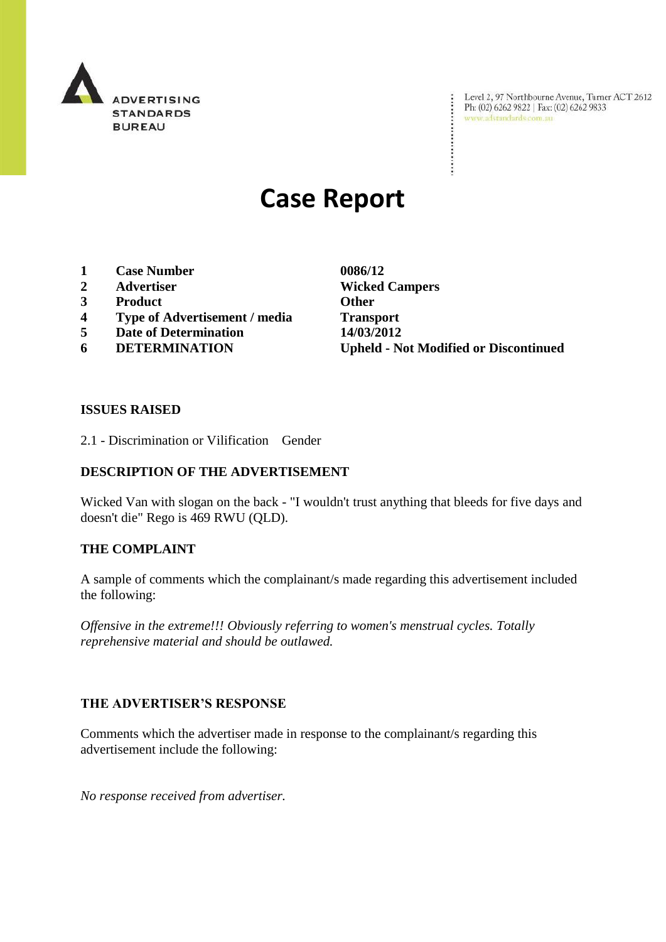

Level 2, 97 Northbourne Avenue, Turner ACT 2612<br>Ph: (02) 6262 9822 | Fax: (02) 6262 9833<br>www.adstandards.com.au

# **Case Report**

- **1 Case Number 0086/12**
- 
- **3 Product Other**
- **4 Type of Advertisement / media Transport**
- **5 Date of Determination 14/03/2012**
- 

**2 Advertiser Wicked Campers 6 DETERMINATION Upheld - Not Modified or Discontinued**

÷

#### **ISSUES RAISED**

2.1 - Discrimination or Vilification Gender

### **DESCRIPTION OF THE ADVERTISEMENT**

Wicked Van with slogan on the back - "I wouldn't trust anything that bleeds for five days and doesn't die" Rego is 469 RWU (QLD).

#### **THE COMPLAINT**

A sample of comments which the complainant/s made regarding this advertisement included the following:

*Offensive in the extreme!!! Obviously referring to women's menstrual cycles. Totally reprehensive material and should be outlawed.*

#### **THE ADVERTISER'S RESPONSE**

Comments which the advertiser made in response to the complainant/s regarding this advertisement include the following:

*No response received from advertiser.*